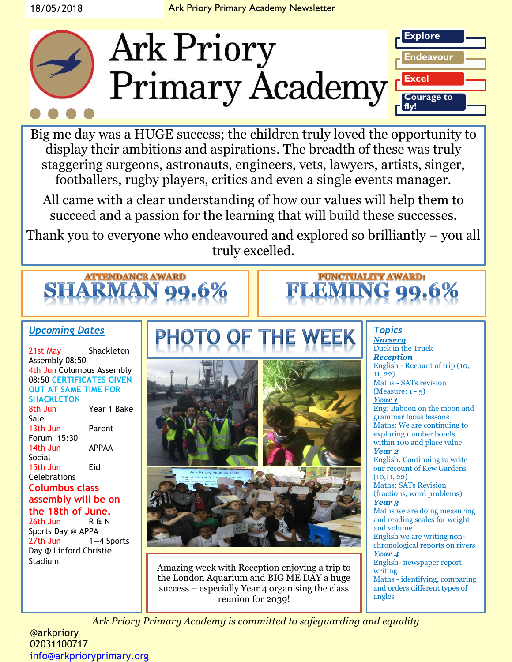

Big me day was a HUGE success; the children truly loved the opportunity to display their ambitions and aspirations. The breadth of these was truly staggering surgeons, astronauts, engineers, vets, lawyers, artists, singer, footballers, rugby players, critics and even a single events manager.

All came with a clear understanding of how our values will help them to succeed and a passion for the learning that will build these successes.

Thank you to everyone who endeavoured and explored so brilliantly – you all truly excelled.



### *Upcoming Dates*

21st May Shackleton Assembly 08:50 4th Jun Columbus Assembly 08:50 **CERTIFICATES GIVEN OUT AT SAME TIME FOR SHACKLETON** 8th Jun Year 1 Bake Sale 13th Jun Parent Forum 15:30 14th Jun APPAA Social 15th Jun Eid **Celebrations Columbus class** 

#### **assembly will be on the 18th of June.**

26th Jun R & N Sports Day @ APPA 27th Jun 1—4 Sports Day @ Linford Christie Stadium



Amazing week with Reception enjoying a trip to the London Aquarium and BIG ME DAY a huge success – especially Year 4 organising the class reunion for 2039!

*Topics Nursery* Duck in the Truck *Reception*  English - Recount of trip (10, 11, 22) Maths - SATs revision (Measure: 1 - 5) *Year 1* Eng: Baboon on the moon and grammar focus lessons Maths: We are continuing to exploring number bonds within 100 and place value *Year 2* English: Continuing to write our recount of Kew Gardens  $(10, 11, 22)$ Maths: SATs Revision (fractions, word problems) *Year 3* Maths we are doing measuring and reading scales for weight and volume English we are writing nonchronological reports on rivers *Year 4* English- newspaper report writing Maths - identifying, comparing and orders different types of angles

**PUNCTUALITY AWARD:** 

*Ark Priory Primary Academy is committed to safeguarding and equality* 

@arkpriory 02031100717 [info@arkprioryprimary.org](mailto:info@arkprioryprimary.org)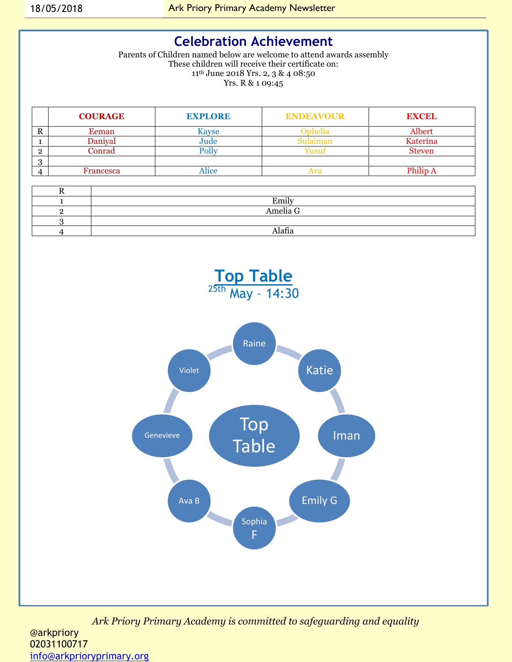### **Celebration Achievement**

Parents of Children named below are welcome to attend awards assembly These children will receive their certificate on: 11th June 2018 Yrs. 2, 3 & 4 08:50 Yrs. R & 1 09:45

|   | <b>COURAGE</b> | <b>EXPLORE</b> | <b>ENDEAVOUR</b> | <b>EXCEL</b>  |
|---|----------------|----------------|------------------|---------------|
| D | Eeman          | Kavse          | Inhelia          | Albert        |
|   | Janival        | Jude           | Sulaimar         | Katerina      |
|   | .onrad         |                | 11011            | <b>Steven</b> |
|   |                |                |                  |               |
|   | Francesca      | Alice          | Wa               |               |

| ∸ |          |
|---|----------|
|   | Emily    |
|   | Amelia G |
|   |          |
|   | Alafia   |



*Ark Priory Primary Academy is committed to safeguarding and equality*  @arkpriory 02031100717 [info@arkprioryprimary.org](mailto:info@arkprioryprimary.org)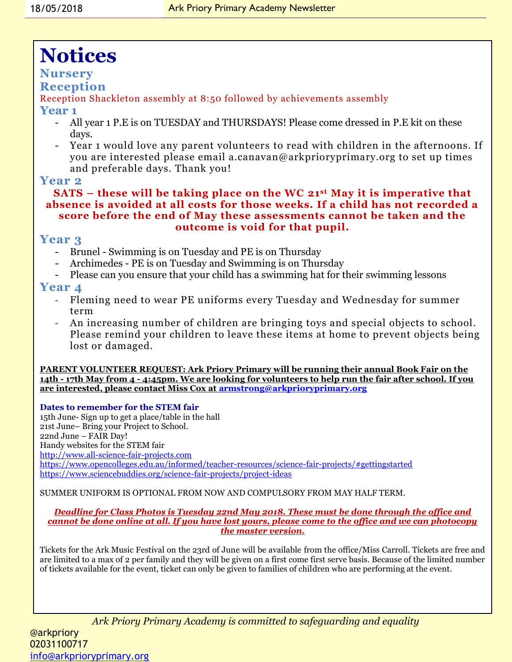# **Notices**

#### **Nursery**

#### **Reception**

Reception Shackleton assembly at 8:50 followed by achievements assembly

#### **Year 1**

- All year 1 P.E is on TUESDAY and THURSDAYS! Please come dressed in P.E kit on these days.
- Year 1 would love any parent volunteers to read with children in the afternoons. If you are interested please email a.canavan@arkprioryprimary.org to set up times and preferable days. Thank you!

#### **Year 2**

#### **SATS – these will be taking place on the WC 21st May it is imperative that absence is avoided at all costs for those weeks. If a child has not recorded a score before the end of May these assessments cannot be taken and the outcome is void for that pupil.**

#### **Year 3**

- Brunel Swimming is on Tuesday and PE is on Thursday
- Archimedes PE is on Tuesday and Swimming is on Thursday
- Please can you ensure that your child has a swimming hat for their swimming lessons

#### **Year 4**

- Fleming need to wear PE uniforms every Tuesday and Wednesday for summer term
- An increasing number of children are bringing toys and special objects to school. Please remind your children to leave these items at home to prevent objects being lost or damaged.

**PARENT VOLUNTEER REQUEST: Ark Priory Primary will be running their annual Book Fair on the 14th - 17th May from 4 - 4:45pm. We are looking for volunteers to help run the fair after school. If you are interested, please contact Miss Cox at [armstrong@arkprioryprimary.org](mailto:armstrong@arkprioryprimary.org)**

**Dates to remember for the STEM fair**

15th June- Sign up to get a place/table in the hall 21st June– Bring your Project to School. 22nd June – FAIR Day! Handy websites for the STEM fair [http://www.all-science-fair-projects.com](http://www.all-science-fair-projects.com/) <https://www.opencolleges.edu.au/informed/teacher-resources/science-fair-projects/#gettingstarted> <https://www.sciencebuddies.org/science-fair-projects/project-ideas>

SUMMER UNIFORM IS OPTIONAL FROM NOW AND COMPULSORY FROM MAY HALF TERM.

#### *Deadline for Class Photos is Tuesday 22nd May 2018. These must be done through the office and cannot be done online at all. If you have lost yours, please come to the office and we can photocopy the master version.*

Tickets for the Ark Music Festival on the 23rd of June will be available from the office/Miss Carroll. Tickets are free and are limited to a max of 2 per family and they will be given on a first come first serve basis. Because of the limited number of tickets available for the event, ticket can only be given to families of children who are performing at the event.

*Ark Priory Primary Academy is committed to safeguarding and equality* 

@arkpriory 02031100717 [info@arkprioryprimary.org](mailto:info@arkprioryprimary.org)